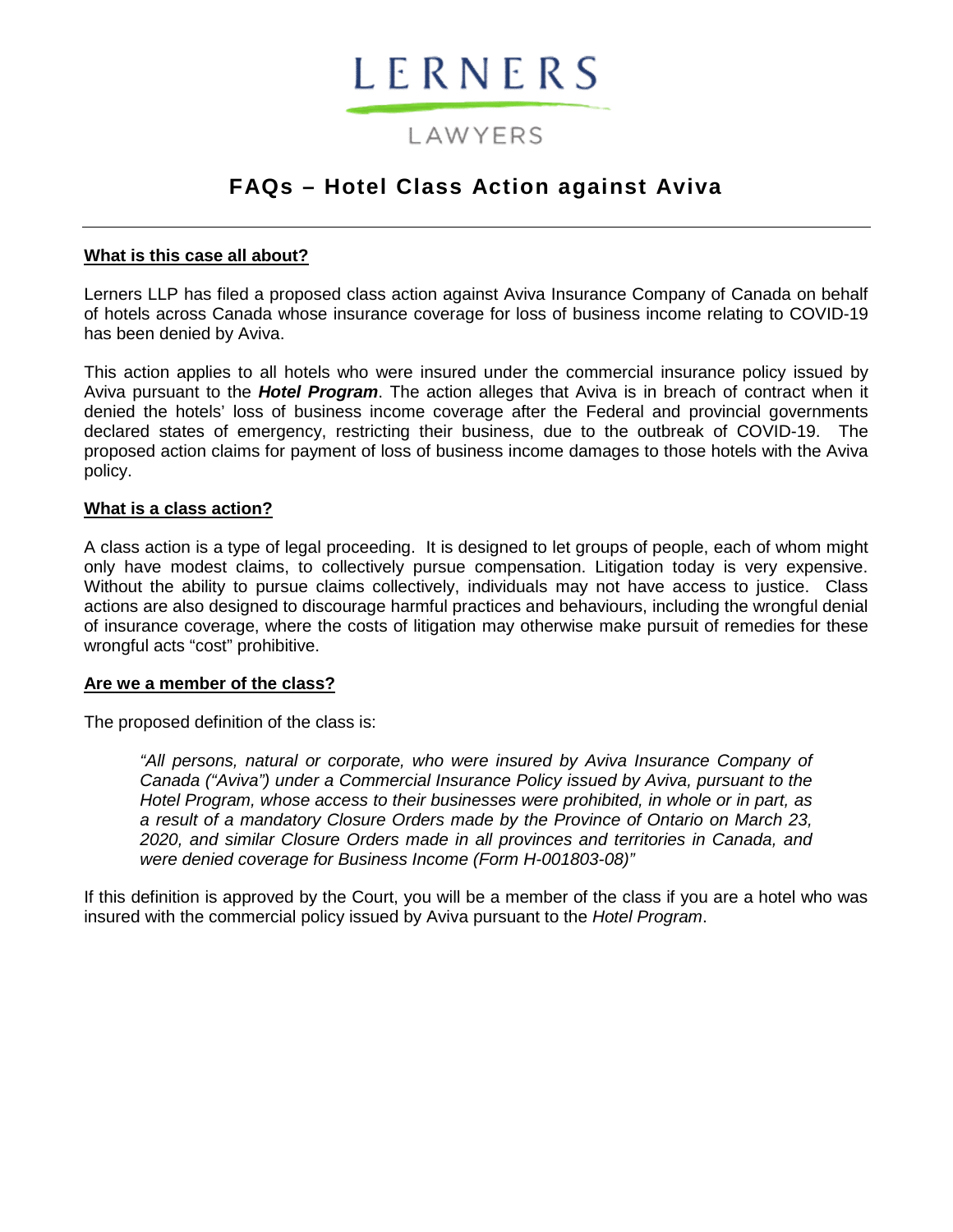# LERNERS

# LAWYERS

# **FAQs – Hotel Class Action against Aviva**

## **What is this case all about?**

Lerners LLP has filed a proposed class action against Aviva Insurance Company of Canada on behalf of hotels across Canada whose insurance coverage for loss of business income relating to COVID-19 has been denied by Aviva.

This action applies to all hotels who were insured under the commercial insurance policy issued by Aviva pursuant to the *Hotel Program*. The action alleges that Aviva is in breach of contract when it denied the hotels' loss of business income coverage after the Federal and provincial governments declared states of emergency, restricting their business, due to the outbreak of COVID-19. The proposed action claims for payment of loss of business income damages to those hotels with the Aviva policy.

## **What is a class action?**

A class action is a type of legal proceeding. It is designed to let groups of people, each of whom might only have modest claims, to collectively pursue compensation. Litigation today is very expensive. Without the ability to pursue claims collectively, individuals may not have access to justice. Class actions are also designed to discourage harmful practices and behaviours, including the wrongful denial of insurance coverage, where the costs of litigation may otherwise make pursuit of remedies for these wrongful acts "cost" prohibitive.

#### **Are we a member of the class?**

The proposed definition of the class is:

*"All persons, natural or corporate, who were insured by Aviva Insurance Company of Canada ("Aviva") under a Commercial Insurance Policy issued by Aviva, pursuant to the Hotel Program, whose access to their businesses were prohibited, in whole or in part, as a result of a mandatory Closure Orders made by the Province of Ontario on March 23, 2020, and similar Closure Orders made in all provinces and territories in Canada, and were denied coverage for Business Income (Form H-001803-08)"* 

If this definition is approved by the Court, you will be a member of the class if you are a hotel who was insured with the commercial policy issued by Aviva pursuant to the *Hotel Program*.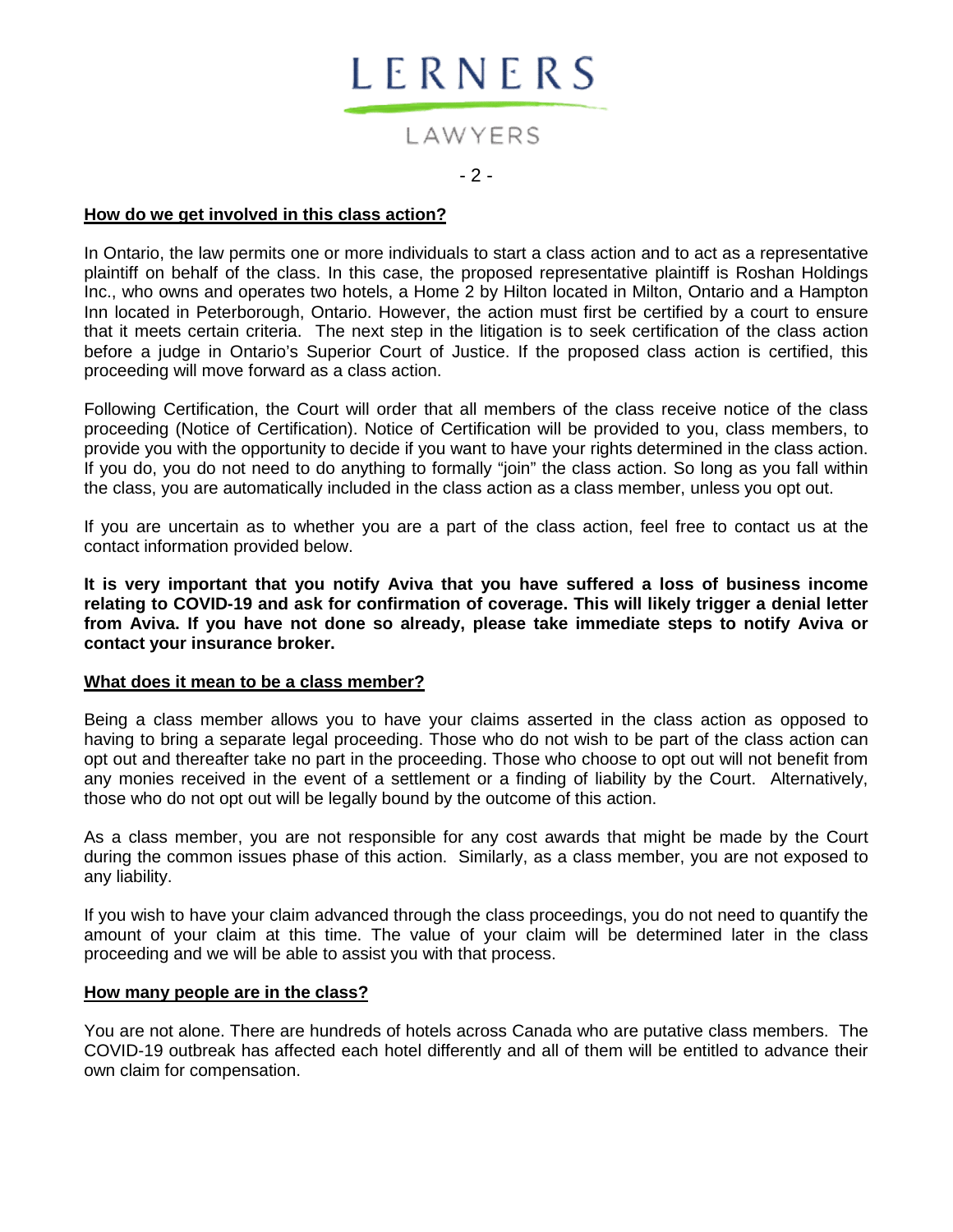

# LAWYERS  $-2 -$

#### **How do we get involved in this class action?**

In Ontario, the law permits one or more individuals to start a class action and to act as a representative plaintiff on behalf of the class. In this case, the proposed representative plaintiff is Roshan Holdings Inc., who owns and operates two hotels, a Home 2 by Hilton located in Milton, Ontario and a Hampton Inn located in Peterborough, Ontario. However, the action must first be certified by a court to ensure that it meets certain criteria. The next step in the litigation is to seek certification of the class action before a judge in Ontario's Superior Court of Justice. If the proposed class action is certified, this proceeding will move forward as a class action.

Following Certification, the Court will order that all members of the class receive notice of the class proceeding (Notice of Certification). Notice of Certification will be provided to you, class members, to provide you with the opportunity to decide if you want to have your rights determined in the class action. If you do, you do not need to do anything to formally "join" the class action. So long as you fall within the class, you are automatically included in the class action as a class member, unless you opt out.

If you are uncertain as to whether you are a part of the class action, feel free to contact us at the contact information provided below.

**It is very important that you notify Aviva that you have suffered a loss of business income relating to COVID-19 and ask for confirmation of coverage. This will likely trigger a denial letter from Aviva. If you have not done so already, please take immediate steps to notify Aviva or contact your insurance broker.**

#### **What does it mean to be a class member?**

Being a class member allows you to have your claims asserted in the class action as opposed to having to bring a separate legal proceeding. Those who do not wish to be part of the class action can opt out and thereafter take no part in the proceeding. Those who choose to opt out will not benefit from any monies received in the event of a settlement or a finding of liability by the Court. Alternatively, those who do not opt out will be legally bound by the outcome of this action.

As a class member, you are not responsible for any cost awards that might be made by the Court during the common issues phase of this action. Similarly, as a class member, you are not exposed to any liability.

If you wish to have your claim advanced through the class proceedings, you do not need to quantify the amount of your claim at this time. The value of your claim will be determined later in the class proceeding and we will be able to assist you with that process.

#### **How many people are in the class?**

You are not alone. There are hundreds of hotels across Canada who are putative class members. The COVID-19 outbreak has affected each hotel differently and all of them will be entitled to advance their own claim for compensation.